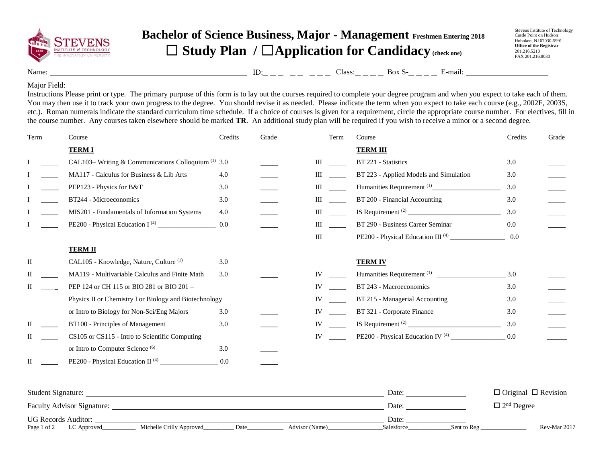

## **Bachelor of Science Business, Major - Management Freshmen Entering 2018** ☐ **Study Plan /** ☐**Application for Candidacy (check one)**

Stevens Institute of Technology Castle Point on Hudson Hoboken, NJ 07030-5991 **Office of the Registrar** 201.216.5210 FAX 201.216.8030

Name: Class: Box S- E-mail: ID:

## Major Field:

Instructions Please print or type. The primary purpose of this form is to lay out the courses required to complete your degree program and when you expect to take each of them. You may then use it to track your own progress to the degree. You should revise it as needed. Please indicate the term when you expect to take each course (e.g., 2002F, 2003S, etc.). Roman numerals indicate the standard curriculum time schedule. If a choice of courses is given for a requirement, circle the appropriate course number. For electives, fill in the course number. Any courses taken elsewhere should be marked **TR**. An additional study plan will be required if you wish to receive a minor or a second degree.

| Term | Course                                                         | Credits | Grade | Term | Course                                 | Credits | Grade |
|------|----------------------------------------------------------------|---------|-------|------|----------------------------------------|---------|-------|
|      | <b>TERMI</b>                                                   |         |       |      | <b>TERM III</b>                        |         |       |
|      | CAL103– Writing & Communications Colloquium <sup>(1)</sup> 3.0 |         |       | Ш    | BT 221 - Statistics                    | 3.0     |       |
|      | MA117 - Calculus for Business & Lib Arts                       | 4.0     |       | Ш    | BT 223 - Applied Models and Simulation | 3.0     |       |
|      | PEP123 - Physics for B&T                                       | 3.0     |       | Ш    |                                        | 3.0     |       |
|      | BT244 - Microeconomics                                         | 3.0     |       | Ш    | BT 200 - Financial Accounting          | 3.0     |       |
|      | MIS201 - Fundamentals of Information Systems                   | 4.0     |       | Ш    |                                        | 3.0     |       |
|      |                                                                | 0.0     |       | Ш    | BT 290 - Business Career Seminar       | 0.0     |       |
|      |                                                                |         |       | Ш    |                                        | 0.0     |       |
|      | <b>TERM II</b>                                                 |         |       |      |                                        |         |       |
| П    | CAL105 - Knowledge, Nature, Culture <sup>(1)</sup>             | 3.0     |       |      | <b>TERM IV</b>                         |         |       |
|      | MA119 - Multivariable Calculus and Finite Math                 | 3.0     |       | IV   |                                        | 3.0     |       |
|      | PEP 124 or CH 115 or BIO 281 or BIO 201 -                      |         |       | IV   | BT 243 - Macroeconomics                | 3.0     |       |
|      | Physics II or Chemistry I or Biology and Biotechnology         |         |       | IV   | BT 215 - Managerial Accounting         | 3.0     |       |
|      | or Intro to Biology for Non-Sci/Eng Majors                     | 3.0     |       | IV   | BT 321 - Corporate Finance             | 3.0     |       |
|      | BT100 - Principles of Management                               | 3.0     |       | IV   |                                        | 3.0     |       |
|      | CS105 or CS115 - Intro to Scientific Computing                 |         |       | IV   |                                        | 0.0     |       |
|      | or Intro to Computer Science <sup>(6)</sup>                    | 3.0     |       |      |                                        |         |       |
| П    | PE200 - Physical Education II <sup>(4)</sup>                   | 0.0     |       |      |                                        |         |       |

| Student Signature:                |                          |      |                | Date:      |             | $\Box$ Original $\Box$ Revision |
|-----------------------------------|--------------------------|------|----------------|------------|-------------|---------------------------------|
| <b>Faculty Advisor Signature:</b> |                          |      |                | Date:      |             | $\Box$ 2 <sup>nd</sup> Degree   |
| <b>UG Records Auditor:</b>        |                          |      |                | Date:      |             |                                 |
| Page 1 of 2<br>LC Approved        | Michelle Crilly Approved | Date | Advisor (Name) | Salesforce | Sent to Reg | Rev-Mar 2017                    |